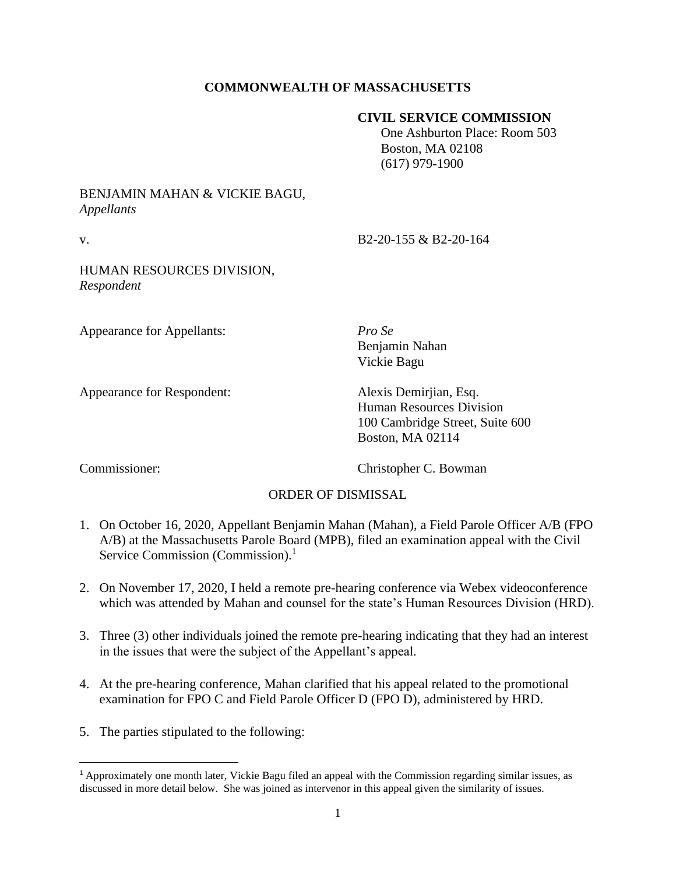# **COMMONWEALTH OF MASSACHUSETTS**

### **CIVIL SERVICE COMMISSION**

 One Ashburton Place: Room 503 Boston, MA 02108 (617) 979-1900

# BENJAMIN MAHAN & VICKIE BAGU, *Appellants*

v. B2-20-155 & B2-20-164

## HUMAN RESOURCES DIVISION, *Respondent*

Appearance for Appellants: *Pro Se*

Appearance for Respondent: Alexis Demirjian, Esq.

Benjamin Nahan Vickie Bagu

Human Resources Division 100 Cambridge Street, Suite 600 Boston, MA 02114

Commissioner: Christopher C. Bowman

# ORDER OF DISMISSAL

- 1. On October 16, 2020, Appellant Benjamin Mahan (Mahan), a Field Parole Officer A/B (FPO A/B) at the Massachusetts Parole Board (MPB), filed an examination appeal with the Civil Service Commission (Commission).<sup>1</sup>
- 2. On November 17, 2020, I held a remote pre-hearing conference via Webex videoconference which was attended by Mahan and counsel for the state's Human Resources Division (HRD).
- 3. Three (3) other individuals joined the remote pre-hearing indicating that they had an interest in the issues that were the subject of the Appellant's appeal.
- 4. At the pre-hearing conference, Mahan clarified that his appeal related to the promotional examination for FPO C and Field Parole Officer D (FPO D), administered by HRD.
- 5. The parties stipulated to the following:

<sup>1</sup> Approximately one month later, Vickie Bagu filed an appeal with the Commission regarding similar issues, as discussed in more detail below. She was joined as intervenor in this appeal given the similarity of issues.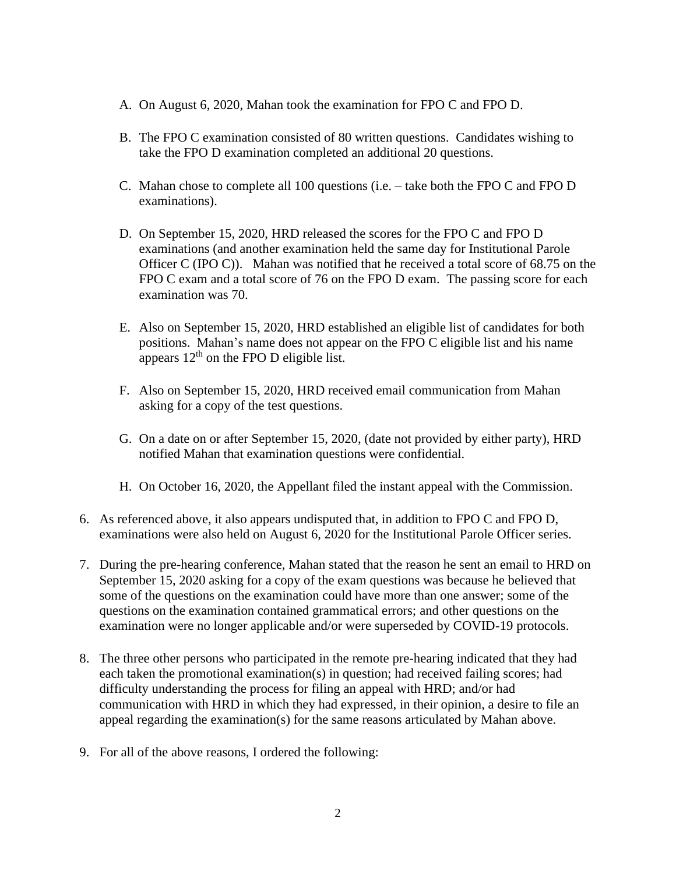- A. On August 6, 2020, Mahan took the examination for FPO C and FPO D.
- B. The FPO C examination consisted of 80 written questions. Candidates wishing to take the FPO D examination completed an additional 20 questions.
- C. Mahan chose to complete all 100 questions (i.e. take both the FPO C and FPO D examinations).
- D. On September 15, 2020, HRD released the scores for the FPO C and FPO D examinations (and another examination held the same day for Institutional Parole Officer C (IPO C)). Mahan was notified that he received a total score of  $68.75$  on the FPO C exam and a total score of 76 on the FPO D exam. The passing score for each examination was 70.
- E. Also on September 15, 2020, HRD established an eligible list of candidates for both positions. Mahan's name does not appear on the FPO C eligible list and his name appears  $12<sup>th</sup>$  on the FPO D eligible list.
- F. Also on September 15, 2020, HRD received email communication from Mahan asking for a copy of the test questions.
- G. On a date on or after September 15, 2020, (date not provided by either party), HRD notified Mahan that examination questions were confidential.
- H. On October 16, 2020, the Appellant filed the instant appeal with the Commission.
- 6. As referenced above, it also appears undisputed that, in addition to FPO C and FPO D, examinations were also held on August 6, 2020 for the Institutional Parole Officer series.
- 7. During the pre-hearing conference, Mahan stated that the reason he sent an email to HRD on September 15, 2020 asking for a copy of the exam questions was because he believed that some of the questions on the examination could have more than one answer; some of the questions on the examination contained grammatical errors; and other questions on the examination were no longer applicable and/or were superseded by COVID-19 protocols.
- 8. The three other persons who participated in the remote pre-hearing indicated that they had each taken the promotional examination(s) in question; had received failing scores; had difficulty understanding the process for filing an appeal with HRD; and/or had communication with HRD in which they had expressed, in their opinion, a desire to file an appeal regarding the examination(s) for the same reasons articulated by Mahan above.
- 9. For all of the above reasons, I ordered the following: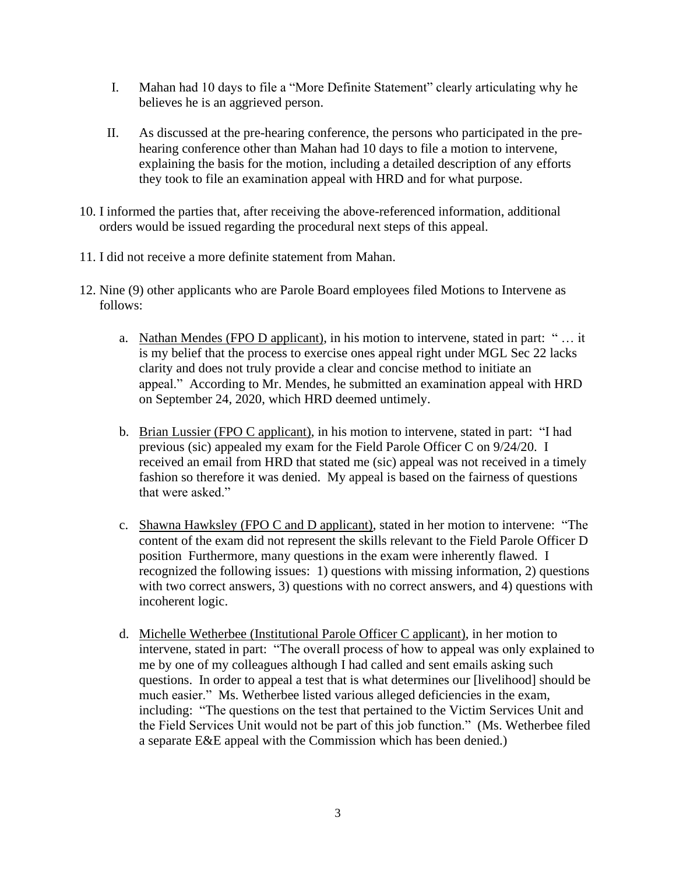- I. Mahan had 10 days to file a "More Definite Statement" clearly articulating why he believes he is an aggrieved person.
- II. As discussed at the pre-hearing conference, the persons who participated in the prehearing conference other than Mahan had 10 days to file a motion to intervene, explaining the basis for the motion, including a detailed description of any efforts they took to file an examination appeal with HRD and for what purpose.
- 10. I informed the parties that, after receiving the above-referenced information, additional orders would be issued regarding the procedural next steps of this appeal.
- 11. I did not receive a more definite statement from Mahan.
- 12. Nine (9) other applicants who are Parole Board employees filed Motions to Intervene as follows:
	- a. Nathan Mendes (FPO D applicant), in his motion to intervene, stated in part: " … it is my belief that the process to exercise ones appeal right under MGL Sec 22 lacks clarity and does not truly provide a clear and concise method to initiate an appeal." According to Mr. Mendes, he submitted an examination appeal with HRD on September 24, 2020, which HRD deemed untimely.
	- b. Brian Lussier (FPO C applicant), in his motion to intervene, stated in part: "I had previous (sic) appealed my exam for the Field Parole Officer C on 9/24/20. I received an email from HRD that stated me (sic) appeal was not received in a timely fashion so therefore it was denied. My appeal is based on the fairness of questions that were asked."
	- c. Shawna Hawksley (FPO C and D applicant), stated in her motion to intervene: "The content of the exam did not represent the skills relevant to the Field Parole Officer D position Furthermore, many questions in the exam were inherently flawed. I recognized the following issues: 1) questions with missing information, 2) questions with two correct answers, 3) questions with no correct answers, and 4) questions with incoherent logic.
	- d. Michelle Wetherbee (Institutional Parole Officer C applicant), in her motion to intervene, stated in part: "The overall process of how to appeal was only explained to me by one of my colleagues although I had called and sent emails asking such questions. In order to appeal a test that is what determines our [livelihood] should be much easier." Ms. Wetherbee listed various alleged deficiencies in the exam, including: "The questions on the test that pertained to the Victim Services Unit and the Field Services Unit would not be part of this job function." (Ms. Wetherbee filed a separate E&E appeal with the Commission which has been denied.)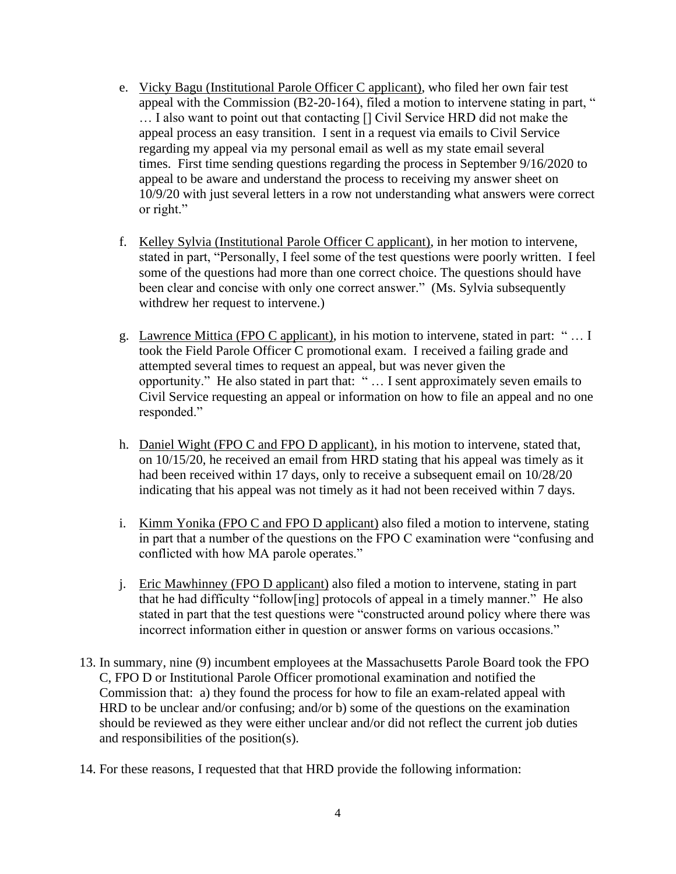- e. Vicky Bagu (Institutional Parole Officer C applicant), who filed her own fair test appeal with the Commission (B2-20-164), filed a motion to intervene stating in part, " … I also want to point out that contacting [] Civil Service HRD did not make the appeal process an easy transition. I sent in a request via emails to Civil Service regarding my appeal via my personal email as well as my state email several times. First time sending questions regarding the process in September 9/16/2020 to appeal to be aware and understand the process to receiving my answer sheet on 10/9/20 with just several letters in a row not understanding what answers were correct or right."
- f. Kelley Sylvia (Institutional Parole Officer C applicant), in her motion to intervene, stated in part, "Personally, I feel some of the test questions were poorly written. I feel some of the questions had more than one correct choice. The questions should have been clear and concise with only one correct answer." (Ms. Sylvia subsequently withdrew her request to intervene.)
- g. Lawrence Mittica (FPO C applicant), in his motion to intervene, stated in part: " … I took the Field Parole Officer C promotional exam. I received a failing grade and attempted several times to request an appeal, but was never given the opportunity." He also stated in part that: " … I sent approximately seven emails to Civil Service requesting an appeal or information on how to file an appeal and no one responded."
- h. Daniel Wight (FPO C and FPO D applicant), in his motion to intervene, stated that, on 10/15/20, he received an email from HRD stating that his appeal was timely as it had been received within 17 days, only to receive a subsequent email on 10/28/20 indicating that his appeal was not timely as it had not been received within 7 days.
- i. Kimm Yonika (FPO C and FPO D applicant) also filed a motion to intervene, stating in part that a number of the questions on the FPO C examination were "confusing and conflicted with how MA parole operates."
- j. Eric Mawhinney (FPO D applicant) also filed a motion to intervene, stating in part that he had difficulty "follow[ing] protocols of appeal in a timely manner." He also stated in part that the test questions were "constructed around policy where there was incorrect information either in question or answer forms on various occasions."
- 13. In summary, nine (9) incumbent employees at the Massachusetts Parole Board took the FPO C, FPO D or Institutional Parole Officer promotional examination and notified the Commission that: a) they found the process for how to file an exam-related appeal with HRD to be unclear and/or confusing; and/or b) some of the questions on the examination should be reviewed as they were either unclear and/or did not reflect the current job duties and responsibilities of the position(s).
- 14. For these reasons, I requested that that HRD provide the following information: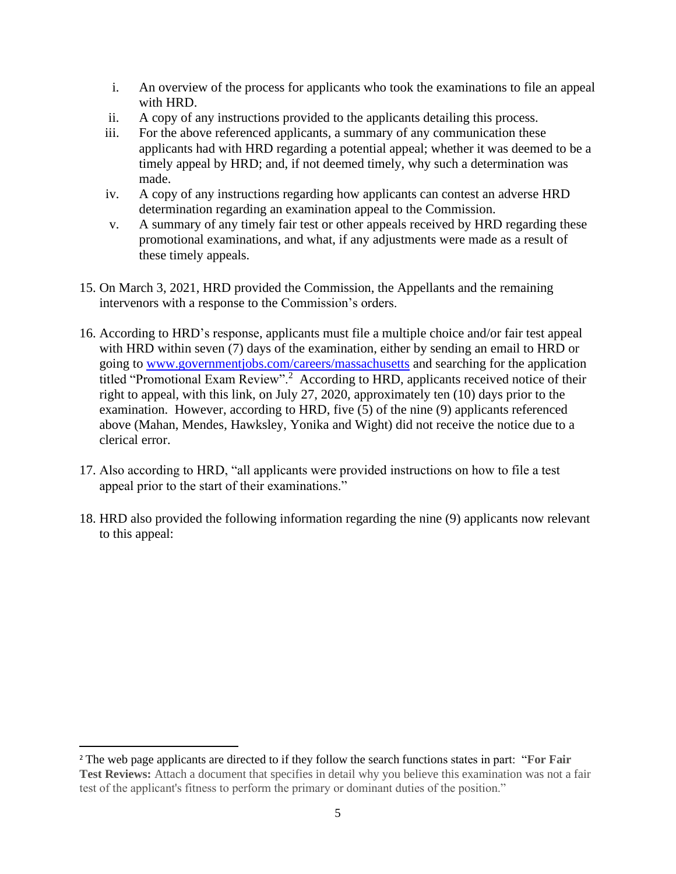- i. An overview of the process for applicants who took the examinations to file an appeal with HRD.
- ii. A copy of any instructions provided to the applicants detailing this process.
- iii. For the above referenced applicants, a summary of any communication these applicants had with HRD regarding a potential appeal; whether it was deemed to be a timely appeal by HRD; and, if not deemed timely, why such a determination was made.
- iv. A copy of any instructions regarding how applicants can contest an adverse HRD determination regarding an examination appeal to the Commission.
- v. A summary of any timely fair test or other appeals received by HRD regarding these promotional examinations, and what, if any adjustments were made as a result of these timely appeals.
- 15. On March 3, 2021, HRD provided the Commission, the Appellants and the remaining intervenors with a response to the Commission's orders.
- 16. According to HRD's response, applicants must file a multiple choice and/or fair test appeal with HRD within seven (7) days of the examination, either by sending an email to HRD or going to [www.governmentjobs.com/careers/massachusetts](http://www.governmentjobs.com/careers/massachusetts) and searching for the application titled "Promotional Exam Review".<sup>2</sup> According to HRD, applicants received notice of their right to appeal, with this link, on July 27, 2020, approximately ten (10) days prior to the examination. However, according to HRD, five (5) of the nine (9) applicants referenced above (Mahan, Mendes, Hawksley, Yonika and Wight) did not receive the notice due to a clerical error.
- 17. Also according to HRD, "all applicants were provided instructions on how to file a test appeal prior to the start of their examinations."
- 18. HRD also provided the following information regarding the nine (9) applicants now relevant to this appeal:

<sup>2</sup> The web page applicants are directed to if they follow the search functions states in part: "**For Fair Test Reviews:** Attach a document that specifies in detail why you believe this examination was not a fair test of the applicant's fitness to perform the primary or dominant duties of the position."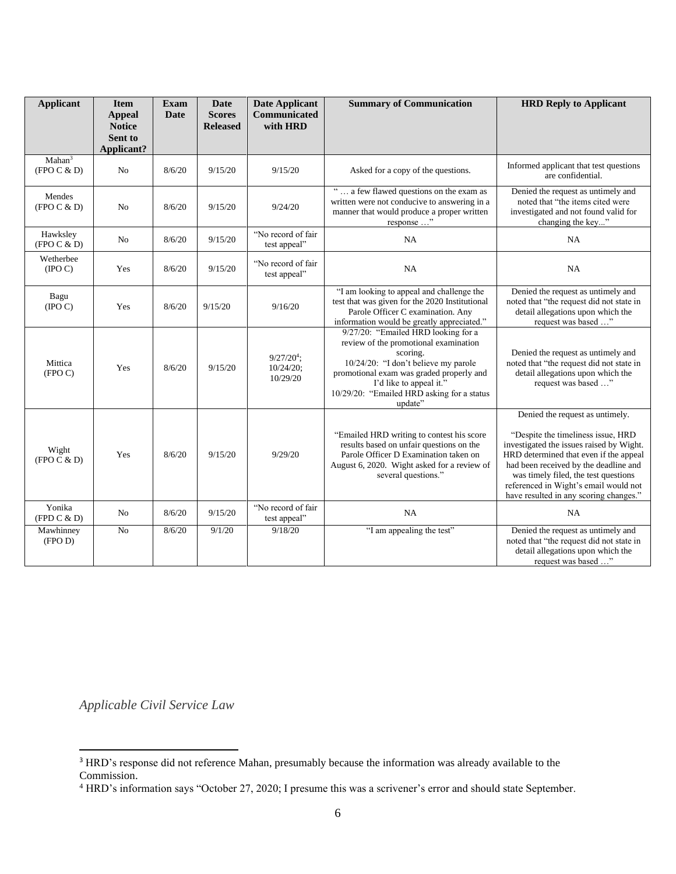| <b>Applicant</b>                  | <b>Item</b><br><b>Appeal</b><br><b>Notice</b><br>Sent to<br><b>Applicant?</b> | <b>Exam</b><br><b>Date</b> | <b>Date</b><br><b>Scores</b><br><b>Released</b> | <b>Date Applicant</b><br>Communicated<br>with HRD | <b>Summary of Communication</b>                                                                                                                                                                                                                                  | <b>HRD Reply to Applicant</b>                                                                                                                                                                                                                                                                                                   |
|-----------------------------------|-------------------------------------------------------------------------------|----------------------------|-------------------------------------------------|---------------------------------------------------|------------------------------------------------------------------------------------------------------------------------------------------------------------------------------------------------------------------------------------------------------------------|---------------------------------------------------------------------------------------------------------------------------------------------------------------------------------------------------------------------------------------------------------------------------------------------------------------------------------|
| Mahan <sup>3</sup><br>(FPO C & D) | N <sub>o</sub>                                                                | 8/6/20                     | 9/15/20                                         | 9/15/20                                           | Asked for a copy of the questions.                                                                                                                                                                                                                               | Informed applicant that test questions<br>are confidential.                                                                                                                                                                                                                                                                     |
| Mendes<br>(FPO C & D)             | N <sub>0</sub>                                                                | 8/6/20                     | 9/15/20                                         | 9/24/20                                           | "  a few flawed questions on the exam as<br>written were not conducive to answering in a<br>manner that would produce a proper written<br>response "                                                                                                             | Denied the request as untimely and<br>noted that "the items cited were<br>investigated and not found valid for<br>changing the key"                                                                                                                                                                                             |
| Hawksley<br>(FPO C & D)           | No                                                                            | 8/6/20                     | 9/15/20                                         | "No record of fair<br>test appeal"                | <b>NA</b>                                                                                                                                                                                                                                                        | NA.                                                                                                                                                                                                                                                                                                                             |
| Wetherbee<br>$($ IPO $C$ $)$      | Yes                                                                           | 8/6/20                     | 9/15/20                                         | "No record of fair"<br>test appeal"               | NA                                                                                                                                                                                                                                                               | NA                                                                                                                                                                                                                                                                                                                              |
| Bagu<br>$($ IPO C $)$             | Yes                                                                           | 8/6/20                     | 9/15/20                                         | 9/16/20                                           | "I am looking to appeal and challenge the<br>test that was given for the 2020 Institutional<br>Parole Officer C examination. Any<br>information would be greatly appreciated."                                                                                   | Denied the request as untimely and<br>noted that "the request did not state in<br>detail allegations upon which the<br>request was based "                                                                                                                                                                                      |
| Mittica<br>(FPO C)                | Yes                                                                           | 8/6/20                     | 9/15/20                                         | $9/27/20^4$ ;<br>$10/24/20$ ;<br>10/29/20         | 9/27/20: "Emailed HRD looking for a<br>review of the promotional examination<br>scoring.<br>10/24/20: "I don't believe my parole<br>promotional exam was graded properly and<br>I'd like to appeal it."<br>10/29/20: "Emailed HRD asking for a status<br>update" | Denied the request as untimely and<br>noted that "the request did not state in<br>detail allegations upon which the<br>request was based "                                                                                                                                                                                      |
| Wight<br>(FPO C & D)              | Yes                                                                           | 8/6/20                     | 9/15/20                                         | 9/29/20                                           | "Emailed HRD writing to contest his score<br>results based on unfair questions on the<br>Parole Officer D Examination taken on<br>August 6, 2020. Wight asked for a review of<br>several questions."                                                             | Denied the request as untimely.<br>"Despite the timeliness issue, HRD<br>investigated the issues raised by Wight.<br>HRD determined that even if the appeal<br>had been received by the deadline and<br>was timely filed, the test questions<br>referenced in Wight's email would not<br>have resulted in any scoring changes." |
| Yonika<br>(FPD C & D)             | No                                                                            | 8/6/20                     | 9/15/20                                         | "No record of fair<br>test appeal"                | <b>NA</b>                                                                                                                                                                                                                                                        | NA                                                                                                                                                                                                                                                                                                                              |
| Mawhinney<br>(FPO D)              | No                                                                            | 8/6/20                     | 9/1/20                                          | 9/18/20                                           | "I am appealing the test"                                                                                                                                                                                                                                        | Denied the request as untimely and<br>noted that "the request did not state in<br>detail allegations upon which the<br>request was based "                                                                                                                                                                                      |

*Applicable Civil Service Law*

<sup>&</sup>lt;sup>3</sup> HRD's response did not reference Mahan, presumably because the information was already available to the Commission.

<sup>4</sup> HRD's information says "October 27, 2020; I presume this was a scrivener's error and should state September.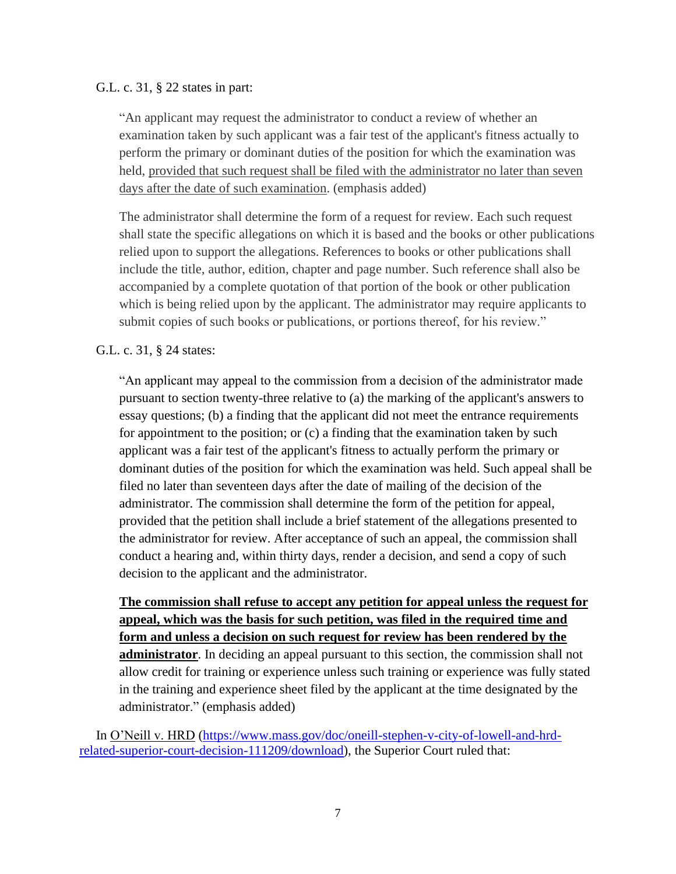### G.L. c. 31, § 22 states in part:

"An applicant may request the administrator to conduct a review of whether an examination taken by such applicant was a fair test of the applicant's fitness actually to perform the primary or dominant duties of the position for which the examination was held, provided that such request shall be filed with the administrator no later than seven days after the date of such examination. (emphasis added)

The administrator shall determine the form of a request for review. Each such request shall state the specific allegations on which it is based and the books or other publications relied upon to support the allegations. References to books or other publications shall include the title, author, edition, chapter and page number. Such reference shall also be accompanied by a complete quotation of that portion of the book or other publication which is being relied upon by the applicant. The administrator may require applicants to submit copies of such books or publications, or portions thereof, for his review."

## G.L. c. 31, § 24 states:

"An applicant may appeal to the commission from a decision of the administrator made pursuant to section twenty-three relative to (a) the marking of the applicant's answers to essay questions; (b) a finding that the applicant did not meet the entrance requirements for appointment to the position; or (c) a finding that the examination taken by such applicant was a fair test of the applicant's fitness to actually perform the primary or dominant duties of the position for which the examination was held. Such appeal shall be filed no later than seventeen days after the date of mailing of the decision of the administrator. The commission shall determine the form of the petition for appeal, provided that the petition shall include a brief statement of the allegations presented to the administrator for review. After acceptance of such an appeal, the commission shall conduct a hearing and, within thirty days, render a decision, and send a copy of such decision to the applicant and the administrator.

**The commission shall refuse to accept any petition for appeal unless the request for appeal, which was the basis for such petition, was filed in the required time and form and unless a decision on such request for review has been rendered by the administrator**. In deciding an appeal pursuant to this section, the commission shall not allow credit for training or experience unless such training or experience was fully stated in the training and experience sheet filed by the applicant at the time designated by the administrator." (emphasis added)

 In O'Neill v. HRD [\(https://www.mass.gov/doc/oneill-stephen-v-city-of-lowell-and-hrd](https://www.mass.gov/doc/oneill-stephen-v-city-of-lowell-and-hrd-related-superior-court-decision-111209/download)[related-superior-court-decision-111209/download\)](https://www.mass.gov/doc/oneill-stephen-v-city-of-lowell-and-hrd-related-superior-court-decision-111209/download), the Superior Court ruled that: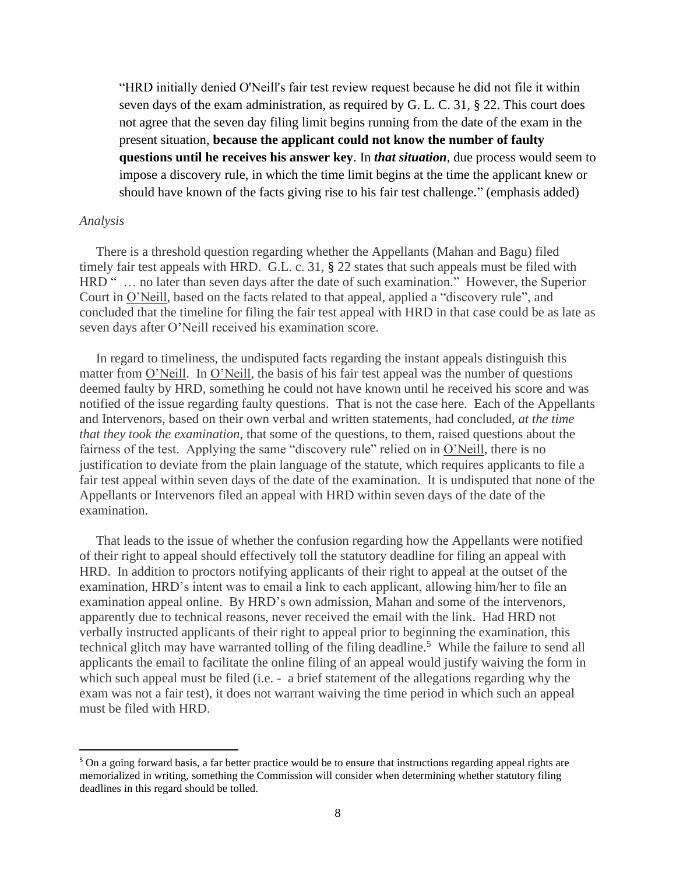"HRD initially denied O'Neill's fair test review request because he did not file it within seven days of the exam administration, as required by G. L. C. 31, § 22. This court does not agree that the seven day filing limit begins running from the date of the exam in the present situation, **because the applicant could not know the number of faulty questions until he receives his answer key**. In *that situation*, due process would seem to impose a discovery rule, in which the time limit begins at the time the applicant knew or should have known of the facts giving rise to his fair test challenge." (emphasis added)

### *Analysis*

 There is a threshold question regarding whether the Appellants (Mahan and Bagu) filed timely fair test appeals with HRD. G.L. c. 31, § 22 states that such appeals must be filed with HRD " … no later than seven days after the date of such examination." However, the Superior Court in O'Neill, based on the facts related to that appeal, applied a "discovery rule", and concluded that the timeline for filing the fair test appeal with HRD in that case could be as late as seven days after O'Neill received his examination score.

 In regard to timeliness, the undisputed facts regarding the instant appeals distinguish this matter from O'Neill. In O'Neill, the basis of his fair test appeal was the number of questions deemed faulty by HRD, something he could not have known until he received his score and was notified of the issue regarding faulty questions. That is not the case here. Each of the Appellants and Intervenors, based on their own verbal and written statements, had concluded, *at the time that they took the examination*, that some of the questions, to them, raised questions about the fairness of the test. Applying the same "discovery rule" relied on in O'Neill, there is no justification to deviate from the plain language of the statute, which requires applicants to file a fair test appeal within seven days of the date of the examination. It is undisputed that none of the Appellants or Intervenors filed an appeal with HRD within seven days of the date of the examination.

 That leads to the issue of whether the confusion regarding how the Appellants were notified of their right to appeal should effectively toll the statutory deadline for filing an appeal with HRD. In addition to proctors notifying applicants of their right to appeal at the outset of the examination, HRD's intent was to email a link to each applicant, allowing him/her to file an examination appeal online. By HRD's own admission, Mahan and some of the intervenors, apparently due to technical reasons, never received the email with the link. Had HRD not verbally instructed applicants of their right to appeal prior to beginning the examination, this technical glitch may have warranted tolling of the filing deadline.<sup>5</sup> While the failure to send all applicants the email to facilitate the online filing of an appeal would justify waiving the form in which such appeal must be filed (i.e. - a brief statement of the allegations regarding why the exam was not a fair test), it does not warrant waiving the time period in which such an appeal must be filed with HRD.

<sup>&</sup>lt;sup>5</sup> On a going forward basis, a far better practice would be to ensure that instructions regarding appeal rights are memorialized in writing, something the Commission will consider when determining whether statutory filing deadlines in this regard should be tolled.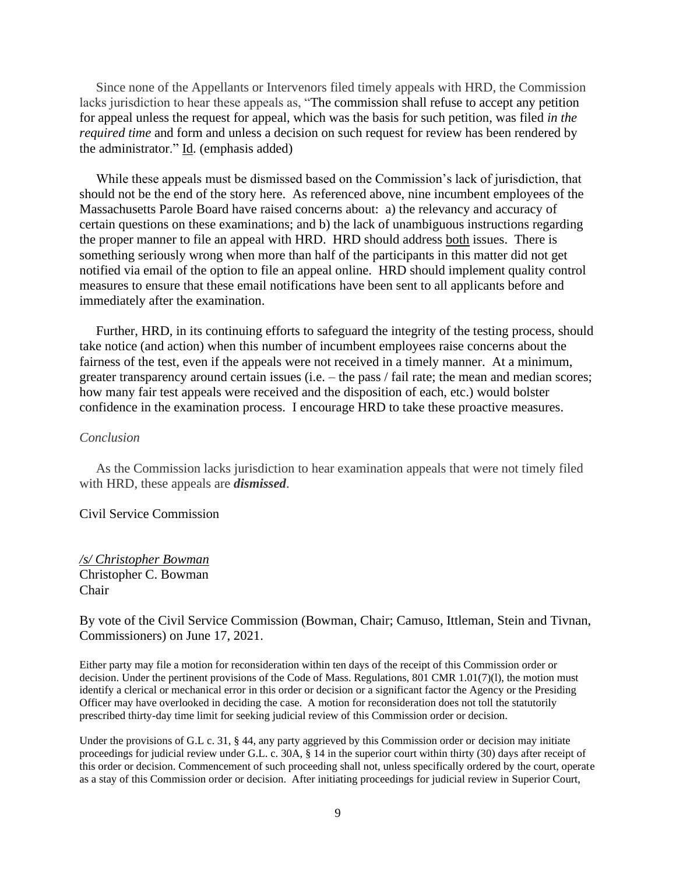Since none of the Appellants or Intervenors filed timely appeals with HRD, the Commission lacks jurisdiction to hear these appeals as, "The commission shall refuse to accept any petition for appeal unless the request for appeal, which was the basis for such petition, was filed *in the required time* and form and unless a decision on such request for review has been rendered by the administrator." Id. (emphasis added)

 While these appeals must be dismissed based on the Commission's lack of jurisdiction, that should not be the end of the story here. As referenced above, nine incumbent employees of the Massachusetts Parole Board have raised concerns about: a) the relevancy and accuracy of certain questions on these examinations; and b) the lack of unambiguous instructions regarding the proper manner to file an appeal with HRD. HRD should address both issues. There is something seriously wrong when more than half of the participants in this matter did not get notified via email of the option to file an appeal online. HRD should implement quality control measures to ensure that these email notifications have been sent to all applicants before and immediately after the examination.

 Further, HRD, in its continuing efforts to safeguard the integrity of the testing process, should take notice (and action) when this number of incumbent employees raise concerns about the fairness of the test, even if the appeals were not received in a timely manner. At a minimum, greater transparency around certain issues (i.e. – the pass / fail rate; the mean and median scores; how many fair test appeals were received and the disposition of each, etc.) would bolster confidence in the examination process. I encourage HRD to take these proactive measures.

### *Conclusion*

 As the Commission lacks jurisdiction to hear examination appeals that were not timely filed with HRD, these appeals are *dismissed*.

#### Civil Service Commission

*/s/ Christopher Bowman* Christopher C. Bowman Chair

By vote of the Civil Service Commission (Bowman, Chair; Camuso, Ittleman, Stein and Tivnan, Commissioners) on June 17, 2021.

Either party may file a motion for reconsideration within ten days of the receipt of this Commission order or decision. Under the pertinent provisions of the Code of Mass. Regulations, 801 CMR 1.01(7)(l), the motion must identify a clerical or mechanical error in this order or decision or a significant factor the Agency or the Presiding Officer may have overlooked in deciding the case. A motion for reconsideration does not toll the statutorily prescribed thirty-day time limit for seeking judicial review of this Commission order or decision.

Under the provisions of G.L c. 31, § 44, any party aggrieved by this Commission order or decision may initiate proceedings for judicial review under G.L. c. 30A, § 14 in the superior court within thirty (30) days after receipt of this order or decision. Commencement of such proceeding shall not, unless specifically ordered by the court, operate as a stay of this Commission order or decision. After initiating proceedings for judicial review in Superior Court,